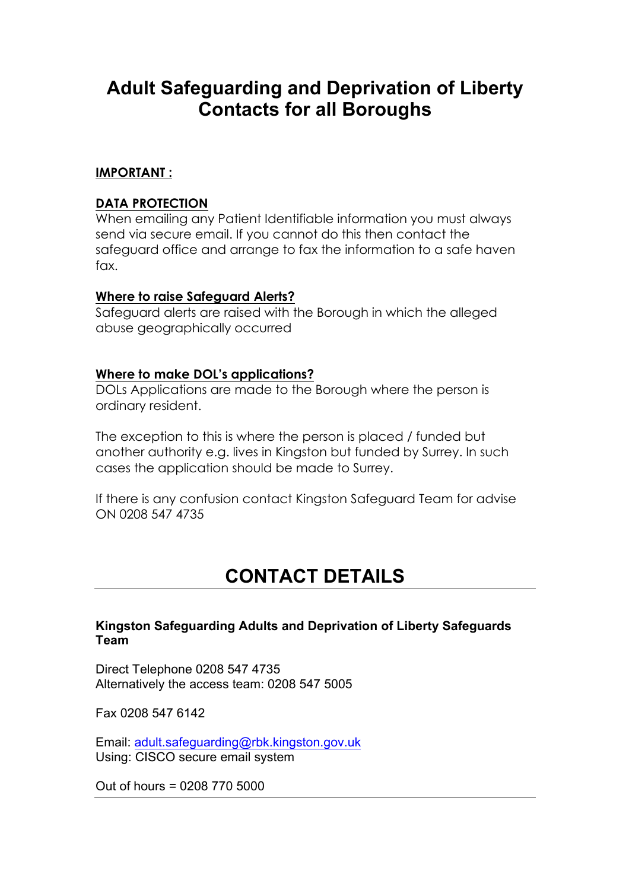# **Adult Safeguarding and Deprivation of Liberty Contacts for all Boroughs**

# **IMPORTANT :**

# **DATA PROTECTION**

When emailing any Patient Identifiable information you must always send via secure email. If you cannot do this then contact the safeguard office and arrange to fax the information to a safe haven fax.

#### **Where to raise Safeguard Alerts?**

Safeguard alerts are raised with the Borough in which the alleged abuse geographically occurred

#### **Where to make DOL's applications?**

DOLs Applications are made to the Borough where the person is ordinary resident.

The exception to this is where the person is placed / funded but another authority e.g. lives in Kingston but funded by Surrey. In such cases the application should be made to Surrey.

If there is any confusion contact Kingston Safeguard Team for advise ON 0208 547 4735

# **CONTACT DETAILS**

# **Kingston Safeguarding Adults and Deprivation of Liberty Safeguards Team**

Direct Telephone 0208 547 4735 Alternatively the access team: 0208 547 5005

Fax 0208 547 6142

Email: adult.safeguarding@rbk.kingston.gov.uk Using: CISCO secure email system

Out of hours = 0208 770 5000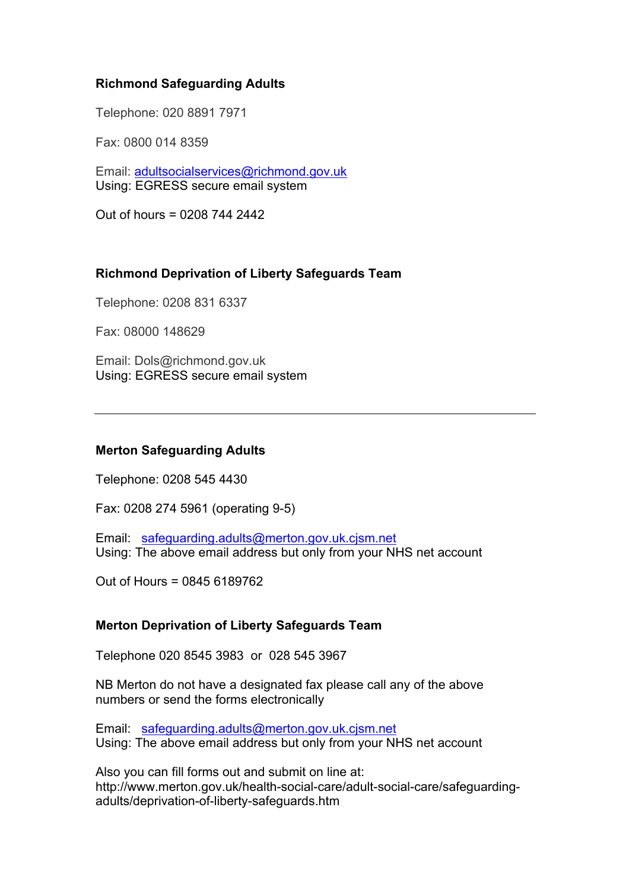# **Richmond Safeguarding Adults**

Telephone: 020 8891 7971

Fax: 0800 014 8359

Email: adultsocialservices@richmond.gov.uk Using: EGRESS secure email system

Out of hours = 0208 744 2442

# **Richmond Deprivation of Liberty Safeguards Team**

Telephone: 0208 831 6337

Fax: 08000 148629

Email: Dols@richmond.gov.uk Using: EGRESS secure email system

#### **Merton Safeguarding Adults**

Telephone: 0208 545 4430

Fax: 0208 274 5961 (operating 9-5)

Email: safeguarding.adults@merton.gov.uk.cjsm.net Using: The above email address but only from your NHS net account

Out of Hours = 0845 6189762

#### **Merton Deprivation of Liberty Safeguards Team**

Telephone 020 8545 3983 or 028 545 3967

NB Merton do not have a designated fax please call any of the above numbers or send the forms electronically

Email: safeguarding.adults@merton.gov.uk.cjsm.net Using: The above email address but only from your NHS net account

Also you can fill forms out and submit on line at: http://www.merton.gov.uk/health-social-care/adult-social-care/safeguardingadults/deprivation-of-liberty-safeguards.htm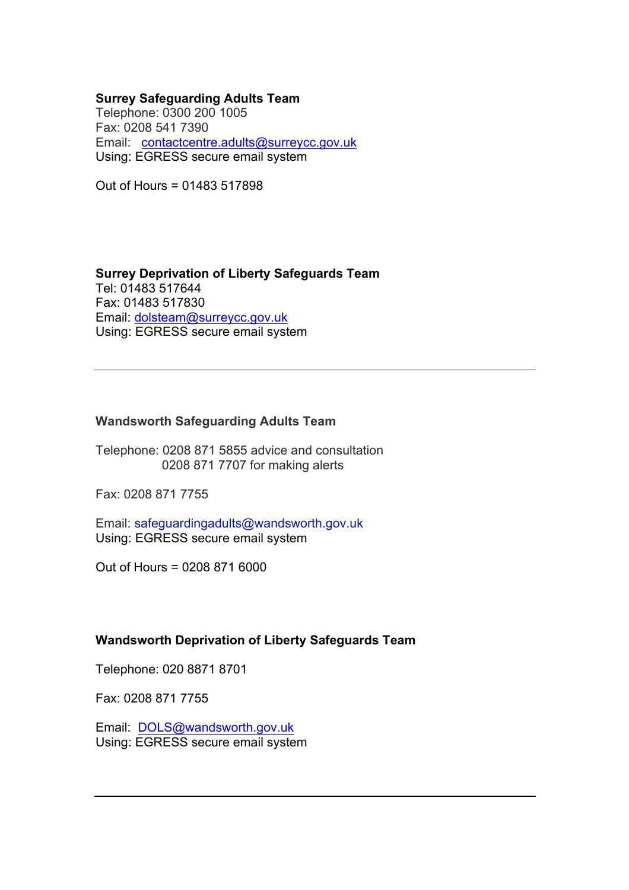#### **Surrey Safeguarding Adults Team**

Telephone: 0300 200 1005 Fax: 0208 541 7390 Email: contactcentre.adults@surreycc.gov.uk Using: EGRESS secure email system

Out of Hours = 01483 517898

**Surrey Deprivation of Liberty Safeguards Team** Tel: 01483 517644 Fax: 01483 517830 Email: dolsteam@surreycc.gov.uk Using: EGRESS secure email system

#### **Wandsworth Safeguarding Adults Team**

Telephone: 0208 871 5855 advice and consultation 0208 871 7707 for making alerts

Fax: 0208 871 7755

Email: safeguardingadults@wandsworth.gov.uk Using: EGRESS secure email system

Out of Hours = 0208 871 6000

#### **Wandsworth Deprivation of Liberty Safeguards Team**

Telephone: 020 8871 8701

Fax: 0208 871 7755

Email: DOLS@wandsworth.gov.uk Using: EGRESS secure email system